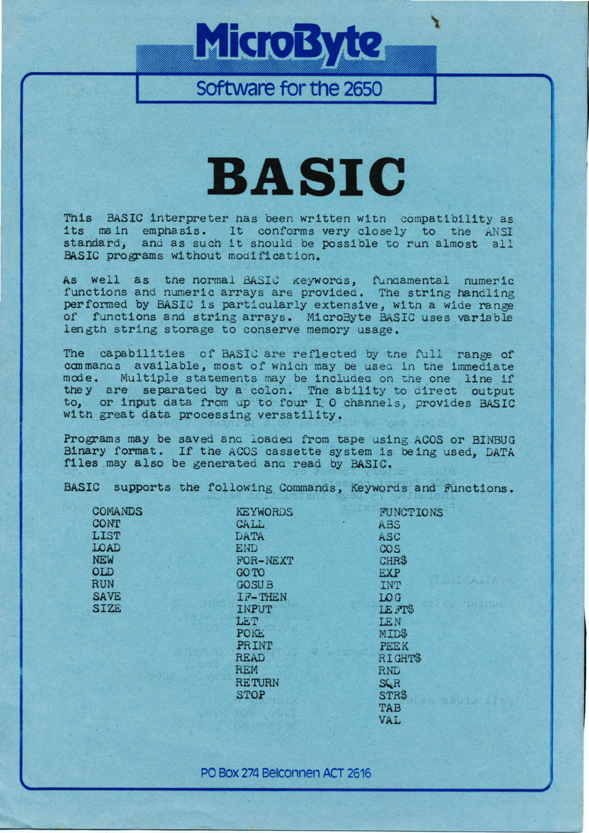# MicroByte

Software for the 2650

## **BASIC**

This BASIC interpreter has been written with compatibility as its main emphasis. It conforms very closely to the ANSI standard, and as such it should be possible to run almost all BASIC programs without modification.

As well as the normal BASIC keywords, fundamental numeric functions and numeric arrays are provided. The string handling performed by BASIC is particularly extensive, with a wide range of functions and string arrays. MicroByte BASIC uses variable length string storage to conserve memory usage.

The capabilities of BASIC are reflected by the full range of commands available, most of which may be used in the immediate mode. Multiple statements may be included on the one line if they are separated by a colon. The ability to direct output to, or input data from up to four I O channels, provides BASIC with great data processing versatility.

Programs may be saved and loaded from tape using ACOS or BINBUG Binary format. If the ACOS cassette system is being used. DATA files may also be generated and read by BASIC.

BASIC supports the following Commands, Keywords and Functions.

| COMANDS     | KEYWORDS      | <b>FUNCTIONS</b> |
|-------------|---------------|------------------|
| CONT        | CALL          | ABS              |
| <b>LIST</b> | <b>DATA</b>   | ASC              |
| LOAD        | <b>END</b>    | <b>COS</b>       |
| NEW         | FOR-NEXT      | CHR\$            |
| 0LD         | <b>GO TO</b>  | <b>EXP</b>       |
| RUN         | <b>GOSUB</b>  | <b>INT</b>       |
| <b>SAVE</b> | IF-THEN       | LO G             |
| <b>SIZE</b> | <b>INPUT</b>  | LE FT\$          |
|             | LET           | <b>LEN</b>       |
|             | <b>POKE</b>   | MID\$            |
|             | PRINT         | <b>PEEK</b>      |
|             | <b>READ</b>   | RIGHT\$          |
|             | <b>REM</b>    | <b>RND</b>       |
|             | <b>RETURN</b> | SQR              |
|             | <b>STOP</b>   | STR\$            |
|             |               | TAB              |
|             |               | VAL              |

PO Box 274 Belconnen ACT 2616

abro fi